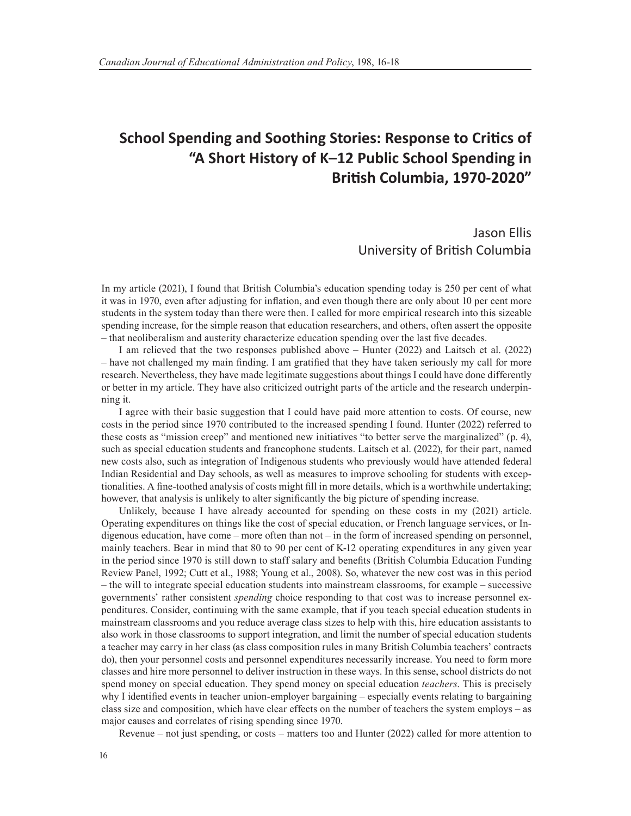## **School Spending and Soothing Stories: Response to Critics of "A Short History of K–12 Public School Spending in British Columbia, 1970-2020"**

Jason Ellis University of British Columbia

In my article (2021), I found that British Columbia's education spending today is 250 per cent of what it was in 1970, even after adjusting for inflation, and even though there are only about 10 per cent more students in the system today than there were then. I called for more empirical research into this sizeable spending increase, for the simple reason that education researchers, and others, often assert the opposite – that neoliberalism and austerity characterize education spending over the last five decades.

I am relieved that the two responses published above – Hunter (2022) and Laitsch et al. (2022) – have not challenged my main finding. I am gratified that they have taken seriously my call for more research. Nevertheless, they have made legitimate suggestions about things I could have done differently or better in my article. They have also criticized outright parts of the article and the research underpinning it.

I agree with their basic suggestion that I could have paid more attention to costs. Of course, new costs in the period since 1970 contributed to the increased spending I found. Hunter (2022) referred to these costs as "mission creep" and mentioned new initiatives "to better serve the marginalized" (p. 4), such as special education students and francophone students. Laitsch et al. (2022), for their part, named new costs also, such as integration of Indigenous students who previously would have attended federal Indian Residential and Day schools, as well as measures to improve schooling for students with exceptionalities. A fine-toothed analysis of costs might fill in more details, which is a worthwhile undertaking; however, that analysis is unlikely to alter significantly the big picture of spending increase.

Unlikely, because I have already accounted for spending on these costs in my (2021) article. Operating expenditures on things like the cost of special education, or French language services, or Indigenous education, have come – more often than not – in the form of increased spending on personnel, mainly teachers. Bear in mind that 80 to 90 per cent of K-12 operating expenditures in any given year in the period since 1970 is still down to staff salary and benefits (British Columbia Education Funding Review Panel, 1992; Cutt et al., 1988; Young et al., 2008). So, whatever the new cost was in this period – the will to integrate special education students into mainstream classrooms, for example – successive governments' rather consistent *spending* choice responding to that cost was to increase personnel expenditures. Consider, continuing with the same example, that if you teach special education students in mainstream classrooms and you reduce average class sizes to help with this, hire education assistants to also work in those classrooms to support integration, and limit the number of special education students a teacher may carry in her class (as class composition rules in many British Columbia teachers' contracts do), then your personnel costs and personnel expenditures necessarily increase. You need to form more classes and hire more personnel to deliver instruction in these ways. In this sense, school districts do not spend money on special education. They spend money on special education *teachers*. This is precisely why I identified events in teacher union-employer bargaining – especially events relating to bargaining class size and composition, which have clear effects on the number of teachers the system employs – as major causes and correlates of rising spending since 1970.

Revenue – not just spending, or costs – matters too and Hunter (2022) called for more attention to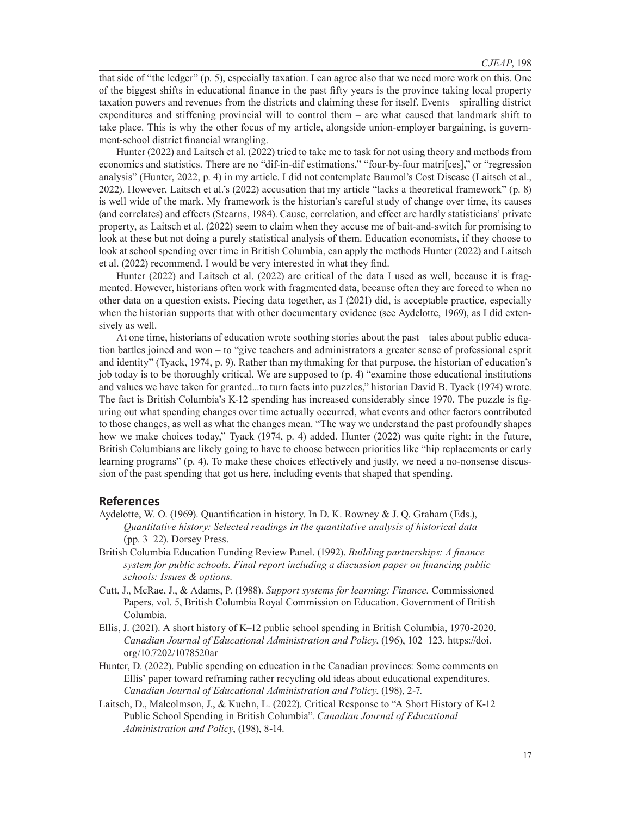that side of "the ledger" (p. 5), especially taxation. I can agree also that we need more work on this. One of the biggest shifts in educational finance in the past fifty years is the province taking local property taxation powers and revenues from the districts and claiming these for itself. Events – spiralling district expenditures and stiffening provincial will to control them – are what caused that landmark shift to take place. This is why the other focus of my article, alongside union-employer bargaining, is government-school district financial wrangling.

Hunter (2022) and Laitsch et al. (2022) tried to take me to task for not using theory and methods from economics and statistics. There are no "dif-in-dif estimations," "four-by-four matri[ces]," or "regression analysis" (Hunter, 2022, p. 4) in my article. I did not contemplate Baumol's Cost Disease (Laitsch et al., 2022). However, Laitsch et al.'s (2022) accusation that my article "lacks a theoretical framework" (p. 8) is well wide of the mark. My framework is the historian's careful study of change over time, its causes (and correlates) and effects (Stearns, 1984). Cause, correlation, and effect are hardly statisticians' private property, as Laitsch et al. (2022) seem to claim when they accuse me of bait-and-switch for promising to look at these but not doing a purely statistical analysis of them. Education economists, if they choose to look at school spending over time in British Columbia, can apply the methods Hunter (2022) and Laitsch et al. (2022) recommend. I would be very interested in what they find.

Hunter (2022) and Laitsch et al. (2022) are critical of the data I used as well, because it is fragmented. However, historians often work with fragmented data, because often they are forced to when no other data on a question exists. Piecing data together, as I (2021) did, is acceptable practice, especially when the historian supports that with other documentary evidence (see Aydelotte, 1969), as I did extensively as well.

At one time, historians of education wrote soothing stories about the past – tales about public education battles joined and won – to "give teachers and administrators a greater sense of professional esprit and identity" (Tyack, 1974, p. 9). Rather than mythmaking for that purpose, the historian of education's job today is to be thoroughly critical. We are supposed to (p. 4) "examine those educational institutions and values we have taken for granted...to turn facts into puzzles," historian David B. Tyack (1974) wrote. The fact is British Columbia's K-12 spending has increased considerably since 1970. The puzzle is figuring out what spending changes over time actually occurred, what events and other factors contributed to those changes, as well as what the changes mean. "The way we understand the past profoundly shapes how we make choices today," Tyack (1974, p. 4) added. Hunter (2022) was quite right: in the future, British Columbians are likely going to have to choose between priorities like "hip replacements or early learning programs" (p. 4). To make these choices effectively and justly, we need a no-nonsense discussion of the past spending that got us here, including events that shaped that spending.

## **References**

- Aydelotte, W. O. (1969). Quantification in history. In D. K. Rowney & J. Q. Graham (Eds.), *Quantitative history: Selected readings in the quantitative analysis of historical data* (pp. 3–22). Dorsey Press.
- British Columbia Education Funding Review Panel. (1992). *Building partnerships: A finance system for public schools. Final report including a discussion paper on financing public schools: Issues & options.*
- Cutt, J., McRae, J., & Adams, P. (1988). *Support systems for learning: Finance.* Commissioned Papers, vol. 5, British Columbia Royal Commission on Education. Government of British Columbia.
- Ellis, J. (2021). A short history of K–12 public school spending in British Columbia, 1970-2020. *Canadian Journal of Educational Administration and Policy*, (196), 102–123. https://doi. org/10.7202/1078520ar
- Hunter, D. (2022). Public spending on education in the Canadian provinces: Some comments on Ellis' paper toward reframing rather recycling old ideas about educational expenditures. *Canadian Journal of Educational Administration and Policy*, (198), 2-7.
- Laitsch, D., Malcolmson, J., & Kuehn, L. (2022). Critical Response to "A Short History of K-12 Public School Spending in British Columbia". *Canadian Journal of Educational Administration and Policy*, (198), 8-14.